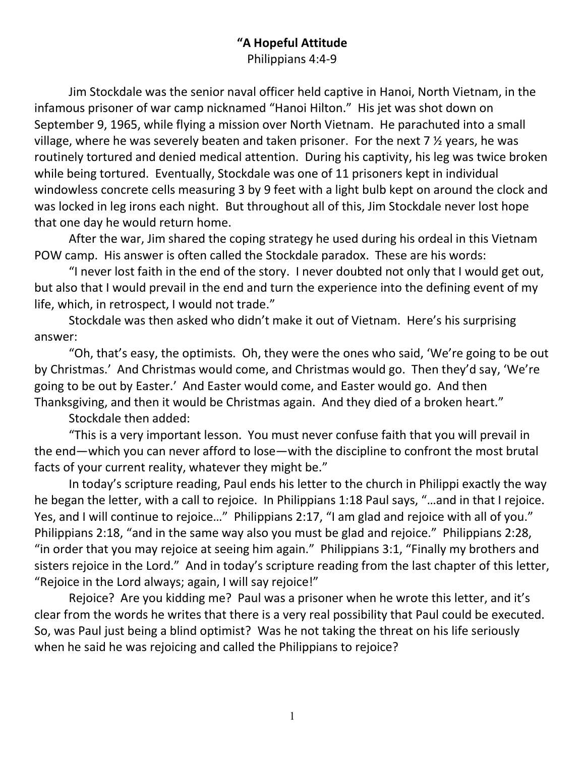## "A Hopeful Attitude Philippians 4:4-9

Jim Stockdale was the senior naval officer held captive in Hanoi, North Vietnam, in the infamous prisoner of war camp nicknamed "Hanoi Hilton." His jet was shot down on September 9, 1965, while flying a mission over North Vietnam. He parachuted into a small village, where he was severely beaten and taken prisoner. For the next  $7 \frac{1}{2}$  years, he was routinely tortured and denied medical attention. During his captivity, his leg was twice broken while being tortured. Eventually, Stockdale was one of 11 prisoners kept in individual windowless concrete cells measuring 3 by 9 feet with a light bulb kept on around the clock and was locked in leg irons each night. But throughout all of this, Jim Stockdale never lost hope that one day he would return home.

After the war, Jim shared the coping strategy he used during his ordeal in this Vietnam POW camp. His answer is often called the Stockdale paradox. These are his words:

"I never lost faith in the end of the story. I never doubted not only that I would get out, but also that I would prevail in the end and turn the experience into the defining event of my life, which, in retrospect, I would not trade."

Stockdale was then asked who didn't make it out of Vietnam. Here's his surprising answer:

"Oh, that's easy, the optimists. Oh, they were the ones who said, 'We're going to be out by Christmas.' And Christmas would come, and Christmas would go. Then they'd say, 'We're going to be out by Easter.' And Easter would come, and Easter would go. And then Thanksgiving, and then it would be Christmas again. And they died of a broken heart."

Stockdale then added:

"This is a very important lesson. You must never confuse faith that you will prevail in the end—which you can never afford to lose—with the discipline to confront the most brutal facts of your current reality, whatever they might be."

In today's scripture reading, Paul ends his letter to the church in Philippi exactly the way he began the letter, with a call to rejoice. In Philippians 1:18 Paul says, "…and in that I rejoice. Yes, and I will continue to rejoice..." Philippians 2:17, "I am glad and rejoice with all of you." Philippians 2:18, "and in the same way also you must be glad and rejoice." Philippians 2:28, "in order that you may rejoice at seeing him again." Philippians 3:1, "Finally my brothers and sisters rejoice in the Lord." And in today's scripture reading from the last chapter of this letter, "Rejoice in the Lord always; again, I will say rejoice!"

Rejoice? Are you kidding me? Paul was a prisoner when he wrote this letter, and it's clear from the words he writes that there is a very real possibility that Paul could be executed. So, was Paul just being a blind optimist? Was he not taking the threat on his life seriously when he said he was rejoicing and called the Philippians to rejoice?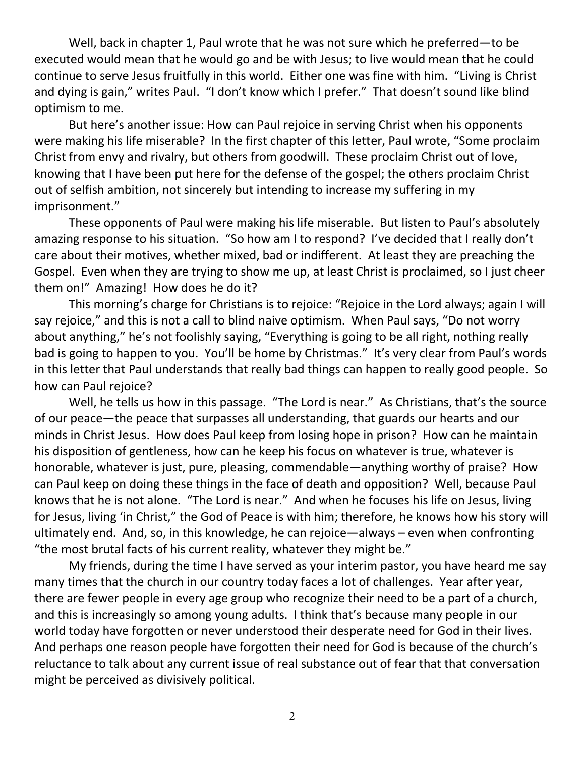Well, back in chapter 1, Paul wrote that he was not sure which he preferred—to be executed would mean that he would go and be with Jesus; to live would mean that he could continue to serve Jesus fruitfully in this world. Either one was fine with him. "Living is Christ and dying is gain," writes Paul. "I don't know which I prefer." That doesn't sound like blind optimism to me.

But here's another issue: How can Paul rejoice in serving Christ when his opponents were making his life miserable? In the first chapter of this letter, Paul wrote, "Some proclaim Christ from envy and rivalry, but others from goodwill. These proclaim Christ out of love, knowing that I have been put here for the defense of the gospel; the others proclaim Christ out of selfish ambition, not sincerely but intending to increase my suffering in my imprisonment."

These opponents of Paul were making his life miserable. But listen to Paul's absolutely amazing response to his situation. "So how am I to respond? I've decided that I really don't care about their motives, whether mixed, bad or indifferent. At least they are preaching the Gospel. Even when they are trying to show me up, at least Christ is proclaimed, so I just cheer them on!" Amazing! How does he do it?

This morning's charge for Christians is to rejoice: "Rejoice in the Lord always; again I will say rejoice," and this is not a call to blind naive optimism. When Paul says, "Do not worry about anything," he's not foolishly saying, "Everything is going to be all right, nothing really bad is going to happen to you. You'll be home by Christmas." It's very clear from Paul's words in this letter that Paul understands that really bad things can happen to really good people. So how can Paul rejoice?

Well, he tells us how in this passage. "The Lord is near." As Christians, that's the source of our peace—the peace that surpasses all understanding, that guards our hearts and our minds in Christ Jesus. How does Paul keep from losing hope in prison? How can he maintain his disposition of gentleness, how can he keep his focus on whatever is true, whatever is honorable, whatever is just, pure, pleasing, commendable—anything worthy of praise? How can Paul keep on doing these things in the face of death and opposition? Well, because Paul knows that he is not alone. "The Lord is near." And when he focuses his life on Jesus, living for Jesus, living 'in Christ," the God of Peace is with him; therefore, he knows how his story will ultimately end. And, so, in this knowledge, he can rejoice—always – even when confronting "the most brutal facts of his current reality, whatever they might be."

My friends, during the time I have served as your interim pastor, you have heard me say many times that the church in our country today faces a lot of challenges. Year after year, there are fewer people in every age group who recognize their need to be a part of a church, and this is increasingly so among young adults. I think that's because many people in our world today have forgotten or never understood their desperate need for God in their lives. And perhaps one reason people have forgotten their need for God is because of the church's reluctance to talk about any current issue of real substance out of fear that that conversation might be perceived as divisively political.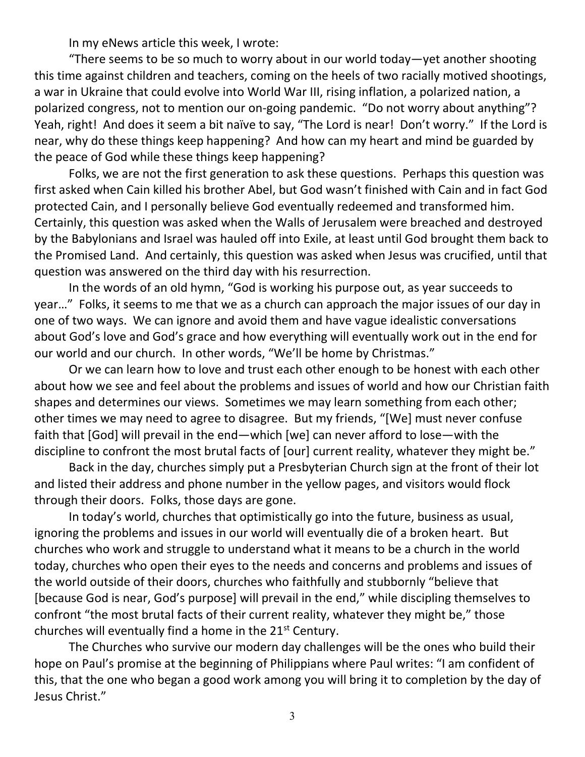In my eNews article this week, I wrote:

"There seems to be so much to worry about in our world today—yet another shooting this time against children and teachers, coming on the heels of two racially motived shootings, a war in Ukraine that could evolve into World War III, rising inflation, a polarized nation, a polarized congress, not to mention our on-going pandemic. "Do not worry about anything"? Yeah, right! And does it seem a bit naïve to say, "The Lord is near! Don't worry." If the Lord is near, why do these things keep happening? And how can my heart and mind be guarded by the peace of God while these things keep happening?

Folks, we are not the first generation to ask these questions. Perhaps this question was first asked when Cain killed his brother Abel, but God wasn't finished with Cain and in fact God protected Cain, and I personally believe God eventually redeemed and transformed him. Certainly, this question was asked when the Walls of Jerusalem were breached and destroyed by the Babylonians and Israel was hauled off into Exile, at least until God brought them back to the Promised Land. And certainly, this question was asked when Jesus was crucified, until that question was answered on the third day with his resurrection.

In the words of an old hymn, "God is working his purpose out, as year succeeds to year…" Folks, it seems to me that we as a church can approach the major issues of our day in one of two ways. We can ignore and avoid them and have vague idealistic conversations about God's love and God's grace and how everything will eventually work out in the end for our world and our church. In other words, "We'll be home by Christmas."

Or we can learn how to love and trust each other enough to be honest with each other about how we see and feel about the problems and issues of world and how our Christian faith shapes and determines our views. Sometimes we may learn something from each other; other times we may need to agree to disagree. But my friends, "[We] must never confuse faith that [God] will prevail in the end—which [we] can never afford to lose—with the discipline to confront the most brutal facts of [our] current reality, whatever they might be."

Back in the day, churches simply put a Presbyterian Church sign at the front of their lot and listed their address and phone number in the yellow pages, and visitors would flock through their doors. Folks, those days are gone.

In today's world, churches that optimistically go into the future, business as usual, ignoring the problems and issues in our world will eventually die of a broken heart. But churches who work and struggle to understand what it means to be a church in the world today, churches who open their eyes to the needs and concerns and problems and issues of the world outside of their doors, churches who faithfully and stubbornly "believe that [because God is near, God's purpose] will prevail in the end," while discipling themselves to confront "the most brutal facts of their current reality, whatever they might be," those churches will eventually find a home in the 21<sup>st</sup> Century.

The Churches who survive our modern day challenges will be the ones who build their hope on Paul's promise at the beginning of Philippians where Paul writes: "I am confident of this, that the one who began a good work among you will bring it to completion by the day of Jesus Christ."